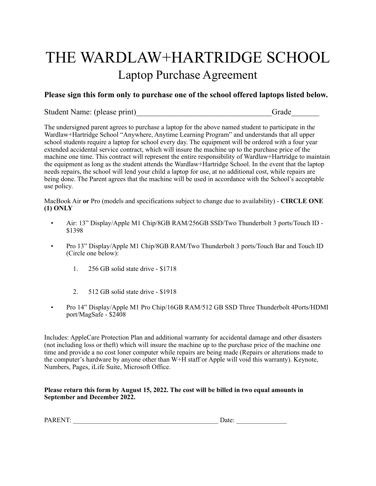## THE WARDLAW+HARTRIDGE SCHOOL Laptop Purchase Agreement

### **Please sign this form only to purchase one of the school offered laptops listed below.**

Student Name: (please print) Grade

The undersigned parent agrees to purchase a laptop for the above named student to participate in the Wardlaw+Hartridge School "Anywhere, Anytime Learning Program" and understands that all upper school students require a laptop for school every day. The equipment will be ordered with a four year extended accidental service contract, which will insure the machine up to the purchase price of the machine one time. This contract will represent the entire responsibility of Wardlaw+Hartridge to maintain the equipment as long as the student attends the Wardlaw+Hartridge School. In the event that the laptop needs repairs, the school will lend your child a laptop for use, at no additional cost, while repairs are being done. The Parent agrees that the machine will be used in accordance with the School's acceptable use policy.

MacBook Air **or** Pro (models and specifications subject to change due to availability) - **CIRCLE ONE (1) ONLY** 

- Air: 13" Display/Apple M1 Chip/8GB RAM/256GB SSD/Two Thunderbolt 3 ports/Touch ID \$1398
- Pro 13" Display/Apple M1 Chip/8GB RAM/Two Thunderbolt 3 ports/Touch Bar and Touch ID (Circle one below):
	- 1. 256 GB solid state drive \$1718
	- 2. 512 GB solid state drive \$1918
- Pro 14" Display/Apple M1 Pro Chip/16GB RAM/512 GB SSD Three Thunderbolt 4Ports/HDMI port/MagSafe - \$2408

Includes: AppleCare Protection Plan and additional warranty for accidental damage and other disasters (not including loss or theft) which will insure the machine up to the purchase price of the machine one time and provide a no cost loner computer while repairs are being made (Repairs or alterations made to the computer's hardware by anyone other than W+H staff or Apple will void this warranty). Keynote, Numbers, Pages, iLife Suite, Microsoft Office.

#### **Please return this form by August 15, 2022. The cost will be billed in two equal amounts in September and December 2022.**

| <b>PARENT:</b><br>the contract of the contract of the contract of the contract of the contract of the contract of the contract of | Jate: |  |
|-----------------------------------------------------------------------------------------------------------------------------------|-------|--|
|                                                                                                                                   |       |  |